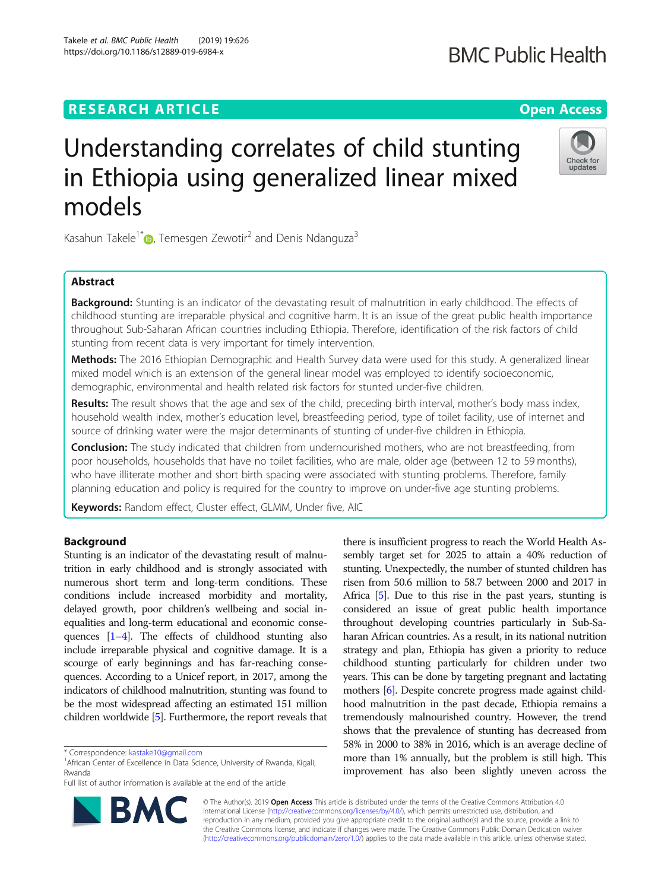### **RESEARCH ARTICLE Example 2014 12:30 The Contract of Contract ACCESS**

# Understanding correlates of child stunting

# in Ethiopia using generalized linear mixed models

Kasahun Takele<sup>1[\\*](http://orcid.org/0000-0001-6127-7300)</sup><sup>®</sup>, Temesgen Zewotir<sup>2</sup> and Denis Ndanguza<sup>3</sup>

### Abstract

**Background:** Stunting is an indicator of the devastating result of malnutrition in early childhood. The effects of childhood stunting are irreparable physical and cognitive harm. It is an issue of the great public health importance throughout Sub-Saharan African countries including Ethiopia. Therefore, identification of the risk factors of child stunting from recent data is very important for timely intervention.

Methods: The 2016 Ethiopian Demographic and Health Survey data were used for this study. A generalized linear mixed model which is an extension of the general linear model was employed to identify socioeconomic, demographic, environmental and health related risk factors for stunted under-five children.

Results: The result shows that the age and sex of the child, preceding birth interval, mother's body mass index, household wealth index, mother's education level, breastfeeding period, type of toilet facility, use of internet and source of drinking water were the major determinants of stunting of under-five children in Ethiopia.

Conclusion: The study indicated that children from undernourished mothers, who are not breastfeeding, from poor households, households that have no toilet facilities, who are male, older age (between 12 to 59 months), who have illiterate mother and short birth spacing were associated with stunting problems. Therefore, family planning education and policy is required for the country to improve on under-five age stunting problems.

Keywords: Random effect, Cluster effect, GLMM, Under five, AIC

#### Background

Stunting is an indicator of the devastating result of malnutrition in early childhood and is strongly associated with numerous short term and long-term conditions. These conditions include increased morbidity and mortality, delayed growth, poor children's wellbeing and social inequalities and long-term educational and economic consequences [[1](#page-7-0)–[4\]](#page-7-0). The effects of childhood stunting also include irreparable physical and cognitive damage. It is a scourge of early beginnings and has far-reaching consequences. According to a Unicef report, in 2017, among the indicators of childhood malnutrition, stunting was found to be the most widespread affecting an estimated 151 million children worldwide [[5](#page-7-0)]. Furthermore, the report reveals that

\* Correspondence: [kastake10@gmail.com](mailto:kastake10@gmail.com) <sup>1</sup>

<sup>1</sup> African Center of Excellence in Data Science, University of Rwanda, Kigali, Rwanda

Full list of author information is available at the end of the article

© The Author(s). 2019 **Open Access** This article is distributed under the terms of the Creative Commons Attribution 4.0

International License [\(http://creativecommons.org/licenses/by/4.0/](http://creativecommons.org/licenses/by/4.0/)), which permits unrestricted use, distribution, and reproduction in any medium, provided you give appropriate credit to the original author(s) and the source, provide a link to the Creative Commons license, and indicate if changes were made. The Creative Commons Public Domain Dedication waiver [\(http://creativecommons.org/publicdomain/zero/1.0/](http://creativecommons.org/publicdomain/zero/1.0/)) applies to the data made available in this article, unless otherwise stated.

there is insufficient progress to reach the World Health Assembly target set for 2025 to attain a 40% reduction of stunting. Unexpectedly, the number of stunted children has risen from 50.6 million to 58.7 between 2000 and 2017 in Africa [\[5\]](#page-7-0). Due to this rise in the past years, stunting is considered an issue of great public health importance throughout developing countries particularly in Sub-Saharan African countries. As a result, in its national nutrition strategy and plan, Ethiopia has given a priority to reduce childhood stunting particularly for children under two years. This can be done by targeting pregnant and lactating mothers [\[6\]](#page-7-0). Despite concrete progress made against childhood malnutrition in the past decade, Ethiopia remains a tremendously malnourished country. However, the trend shows that the prevalence of stunting has decreased from 58% in 2000 to 38% in 2016, which is an average decline of more than 1% annually, but the problem is still high. This improvement has also been slightly uneven across the

## **BMC Public Health**



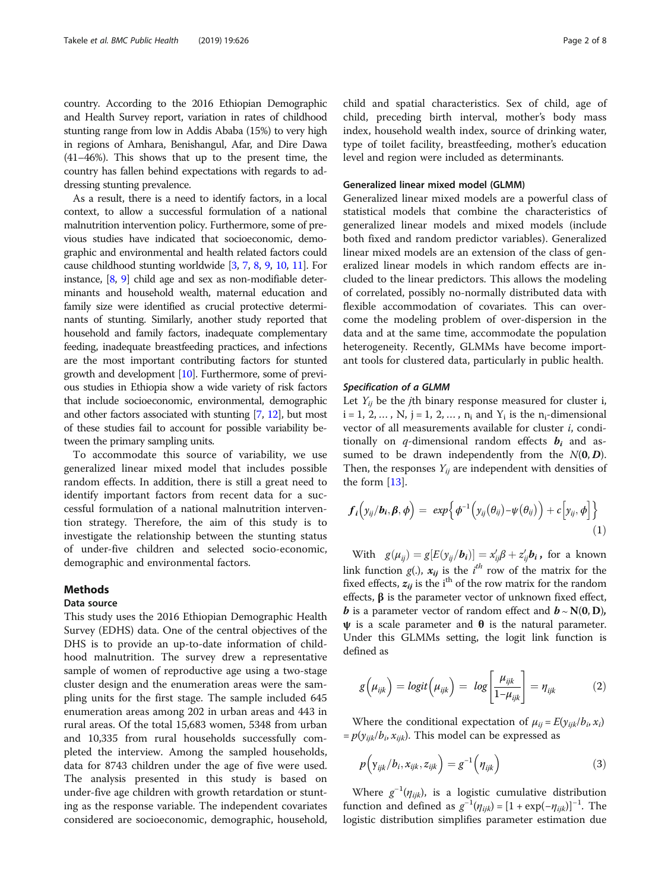country. According to the 2016 Ethiopian Demographic and Health Survey report, variation in rates of childhood stunting range from low in Addis Ababa (15%) to very high in regions of Amhara, Benishangul, Afar, and Dire Dawa (41–46%). This shows that up to the present time, the country has fallen behind expectations with regards to addressing stunting prevalence.

As a result, there is a need to identify factors, in a local context, to allow a successful formulation of a national malnutrition intervention policy. Furthermore, some of previous studies have indicated that socioeconomic, demographic and environmental and health related factors could cause childhood stunting worldwide [[3](#page-7-0), [7](#page-7-0), [8](#page-7-0), [9,](#page-7-0) [10](#page-7-0), [11\]](#page-7-0). For instance, [\[8,](#page-7-0) [9](#page-7-0)] child age and sex as non-modifiable determinants and household wealth, maternal education and family size were identified as crucial protective determinants of stunting. Similarly, another study reported that household and family factors, inadequate complementary feeding, inadequate breastfeeding practices, and infections are the most important contributing factors for stunted growth and development [\[10\]](#page-7-0). Furthermore, some of previous studies in Ethiopia show a wide variety of risk factors that include socioeconomic, environmental, demographic and other factors associated with stunting [[7](#page-7-0), [12\]](#page-7-0), but most of these studies fail to account for possible variability between the primary sampling units.

To accommodate this source of variability, we use generalized linear mixed model that includes possible random effects. In addition, there is still a great need to identify important factors from recent data for a successful formulation of a national malnutrition intervention strategy. Therefore, the aim of this study is to investigate the relationship between the stunting status of under-five children and selected socio-economic, demographic and environmental factors.

#### Methods

#### Data source

This study uses the 2016 Ethiopian Demographic Health Survey (EDHS) data. One of the central objectives of the DHS is to provide an up-to-date information of childhood malnutrition. The survey drew a representative sample of women of reproductive age using a two-stage cluster design and the enumeration areas were the sampling units for the first stage. The sample included 645 enumeration areas among 202 in urban areas and 443 in rural areas. Of the total 15,683 women, 5348 from urban and 10,335 from rural households successfully completed the interview. Among the sampled households, data for 8743 children under the age of five were used. The analysis presented in this study is based on under-five age children with growth retardation or stunting as the response variable. The independent covariates considered are socioeconomic, demographic, household, child and spatial characteristics. Sex of child, age of child, preceding birth interval, mother's body mass index, household wealth index, source of drinking water, type of toilet facility, breastfeeding, mother's education level and region were included as determinants.

#### Generalized linear mixed model (GLMM)

Generalized linear mixed models are a powerful class of statistical models that combine the characteristics of generalized linear models and mixed models (include both fixed and random predictor variables). Generalized linear mixed models are an extension of the class of generalized linear models in which random effects are included to the linear predictors. This allows the modeling of correlated, possibly no-normally distributed data with flexible accommodation of covariates. This can overcome the modeling problem of over-dispersion in the data and at the same time, accommodate the population heterogeneity. Recently, GLMMs have become important tools for clustered data, particularly in public health.

#### Specification of a GLMM

Let  $Y_{ij}$  be the *j*th binary response measured for cluster i,  $i = 1, 2, \dots$ , N,  $j = 1, 2, \dots$ ,  $n_i$  and  $Y_i$  is the  $n_i$ -dimensional vector of all measurements available for cluster  $i$ , conditionally on q-dimensional random effects  $b_i$  and assumed to be drawn independently from the  $N(0, D)$ . Then, the responses  $Y_{ij}$  are independent with densities of the form [[13](#page-7-0)].

$$
\boldsymbol{f}_i\Big(\mathbf{y}_{ij}/\boldsymbol{b}_i,\boldsymbol{\beta},\boldsymbol{\phi}\Big) = exp\Big\{\boldsymbol{\phi}^{-1}\Big(\mathbf{y}_{ij}(\theta_{ij})-\boldsymbol{\psi}(\theta_{ij})\Big)+c\Big[\mathbf{y}_{ij},\boldsymbol{\phi}\Big]\Big\}
$$
(1)

With  $g(\mu_{ij}) = g[E(y_{ij}/\boldsymbol{b_i})] = x_{ij}'\boldsymbol{\beta} + z_{ij}'\boldsymbol{b_i}$ , for a known link function  $g(.)$ ,  $x_{ij}$  is the  $i^{th}$  row of the matrix for the fixed effects,  $z_{ii}$  is the i<sup>th</sup> of the row matrix for the random effects,  $β$  is the parameter vector of unknown fixed effect, **b** is a parameter vector of random effect and  $\mathbf{b} \sim N(0, D)$ ,  $\psi$  is a scale parameter and  $\theta$  is the natural parameter. Under this GLMMs setting, the logit link function is defined as

$$
g\left(\mu_{ijk}\right) = logit\left(\mu_{ijk}\right) = log\left[\frac{\mu_{ijk}}{1 - \mu_{ijk}}\right] = \eta_{ijk}
$$
 (2)

Where the conditional expectation of  $\mu_{ij} = E(y_{ijk}/b_i, x_i)$  $= p(y_{ijk}/b_i, x_{ijk})$ . This model can be expressed as

$$
p\left(\gamma_{ijk}/b_i, x_{ijk}, z_{ijk}\right) = g^{-1}\left(\eta_{ijk}\right)
$$
\n(3)

Where  $g^{-1}(\eta_{ijk})$ , is a logistic cumulative distribution function and defined as  $g^{-1}(\eta_{ijk}) = [1 + \exp(-\eta_{ijk})]^{-1}$ . The logistic distribution simplifies parameter estimation due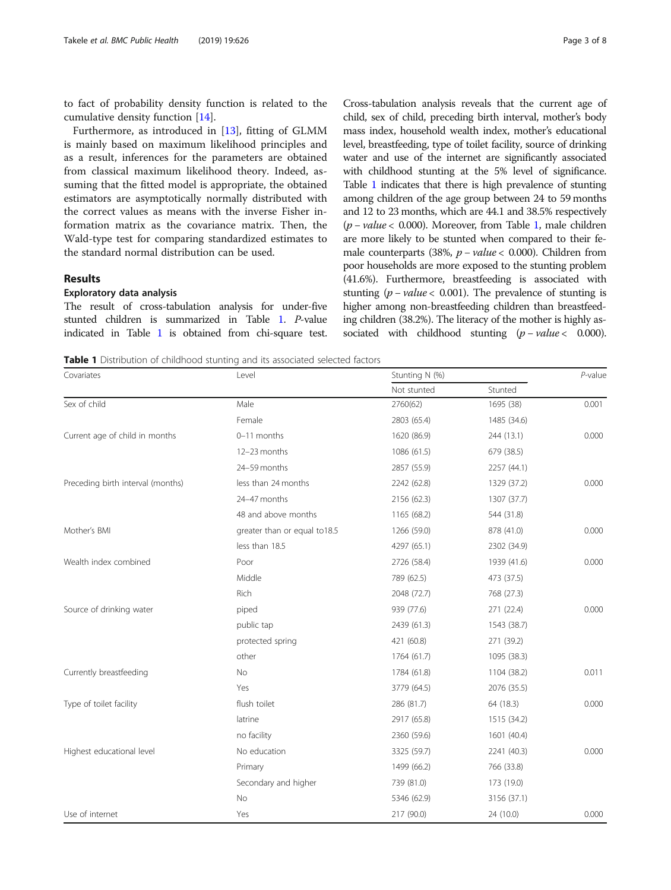to fact of probability density function is related to the cumulative density function [[14](#page-7-0)].

Furthermore, as introduced in [\[13](#page-7-0)], fitting of GLMM is mainly based on maximum likelihood principles and as a result, inferences for the parameters are obtained from classical maximum likelihood theory. Indeed, assuming that the fitted model is appropriate, the obtained estimators are asymptotically normally distributed with the correct values as means with the inverse Fisher information matrix as the covariance matrix. Then, the Wald-type test for comparing standardized estimates to the standard normal distribution can be used.

#### Results

#### Exploratory data analysis

The result of cross-tabulation analysis for under-five stunted children is summarized in Table 1. P-value indicated in Table 1 is obtained from chi-square test.

Cross-tabulation analysis reveals that the current age of child, sex of child, preceding birth interval, mother's body mass index, household wealth index, mother's educational level, breastfeeding, type of toilet facility, source of drinking water and use of the internet are significantly associated with childhood stunting at the 5% level of significance. Table 1 indicates that there is high prevalence of stunting among children of the age group between 24 to 59 months and 12 to 23 months, which are 44.1 and 38.5% respectively (p − value < 0.000). Moreover, from Table 1, male children are more likely to be stunted when compared to their female counterparts (38%,  $p$  – *value* < 0.000). Children from poor households are more exposed to the stunting problem (41.6%). Furthermore, breastfeeding is associated with stunting ( $p$  – *value* < 0.001). The prevalence of stunting is higher among non-breastfeeding children than breastfeeding children (38.2%). The literacy of the mother is highly associated with childhood stunting  $(p - value < 0.000)$ .

Table 1 Distribution of childhood stunting and its associated selected factors

| Covariates                        | Level                        | Stunting N (%) |             |       |  |
|-----------------------------------|------------------------------|----------------|-------------|-------|--|
|                                   |                              | Not stunted    | Stunted     |       |  |
| Sex of child                      | Male                         | 2760(62)       | 1695 (38)   | 0.001 |  |
|                                   | Female                       | 2803 (65.4)    | 1485 (34.6) |       |  |
| Current age of child in months    | 0-11 months                  | 1620 (86.9)    | 244 (13.1)  | 0.000 |  |
|                                   | 12-23 months                 | 1086 (61.5)    | 679 (38.5)  |       |  |
|                                   | 24-59 months                 | 2857 (55.9)    | 2257 (44.1) |       |  |
| Preceding birth interval (months) | less than 24 months          | 2242 (62.8)    | 1329 (37.2) | 0.000 |  |
|                                   | 24-47 months                 | 2156 (62.3)    | 1307 (37.7) |       |  |
|                                   | 48 and above months          | 1165 (68.2)    | 544 (31.8)  |       |  |
| Mother's BMI                      | greater than or equal to18.5 | 1266 (59.0)    | 878 (41.0)  | 0.000 |  |
|                                   | less than 18.5               | 4297 (65.1)    | 2302 (34.9) |       |  |
| Wealth index combined             | Poor                         | 2726 (58.4)    | 1939 (41.6) | 0.000 |  |
|                                   | Middle                       | 789 (62.5)     | 473 (37.5)  |       |  |
|                                   | Rich                         | 2048 (72.7)    | 768 (27.3)  |       |  |
| Source of drinking water          | piped                        | 939 (77.6)     | 271 (22.4)  | 0.000 |  |
|                                   | public tap                   | 2439 (61.3)    | 1543 (38.7) |       |  |
|                                   | protected spring             | 421 (60.8)     | 271 (39.2)  |       |  |
|                                   | other                        | 1764 (61.7)    | 1095 (38.3) |       |  |
| Currently breastfeeding           | No                           | 1784 (61.8)    | 1104 (38.2) | 0.011 |  |
|                                   | Yes                          | 3779 (64.5)    | 2076 (35.5) |       |  |
| Type of toilet facility           | flush toilet                 | 286 (81.7)     | 64 (18.3)   | 0.000 |  |
|                                   | latrine                      | 2917 (65.8)    | 1515 (34.2) |       |  |
|                                   | no facility                  | 2360 (59.6)    | 1601 (40.4) |       |  |
| Highest educational level         | No education                 | 3325 (59.7)    | 2241 (40.3) | 0.000 |  |
|                                   | Primary                      | 1499 (66.2)    | 766 (33.8)  |       |  |
|                                   | Secondary and higher         | 739 (81.0)     | 173 (19.0)  |       |  |
|                                   | <b>No</b>                    | 5346 (62.9)    | 3156 (37.1) |       |  |
| Use of internet                   | Yes                          | 217 (90.0)     | 24 (10.0)   | 0.000 |  |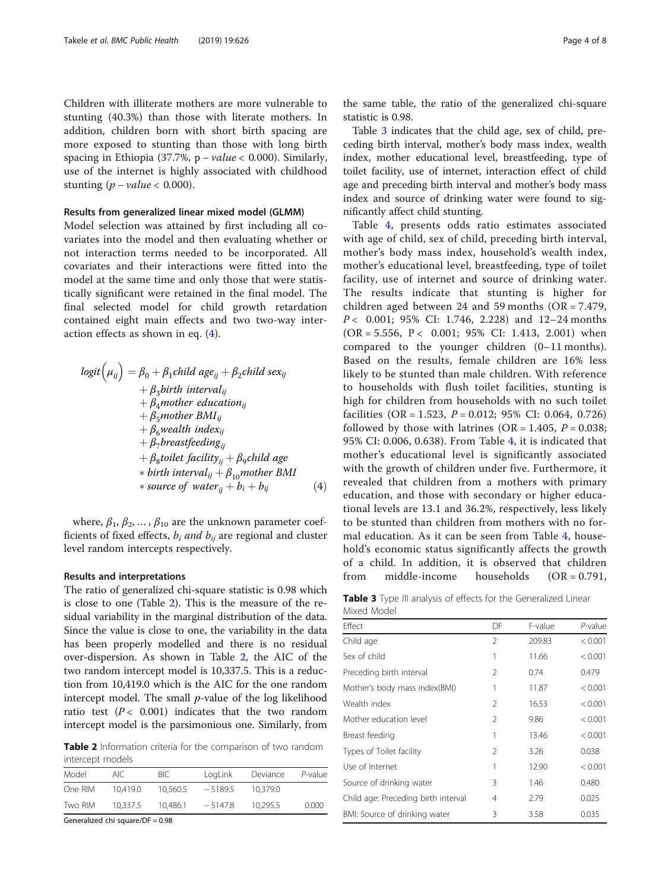Children with illiterate mothers are more vulnerable to stunting (40.3%) than those with literate mothers. In addition, children born with short birth spacing are more exposed to stunting than those with long birth spacing in Ethiopia (37.7%, p − value < 0.000). Similarly, use of the internet is highly associated with childhood stunting  $(p - value < 0.000)$ .

#### Results from generalized linear mixed model (GLMM)

Model selection was attained by first including all covariates into the model and then evaluating whether or not interaction terms needed to be incorporated. All covariates and their interactions were fitted into the model at the same time and only those that were statistically significant were retained in the final model. The final selected model for child growth retardation contained eight main effects and two two-way interaction effects as shown in eq. (4).

$$
logit(\mu_{ij}) = \beta_0 + \beta_1 child \ age_{ij} + \beta_2 child \ sex_{ij}
$$
  
+  $\beta_3 birth \ interval_{ij}$   
+  $\beta_4 mother \ education_{ij}$   
+  $\beta_5 mother \ BMI_{ij}$   
+  $\beta_6 wealth \ index_{ij}$   
+  $\beta_7 breatheding_{ij}$   
+  $\beta_7 breatheding_{ij}$   
+  $\beta_8 \ to\ ilet \ facility_{ij} + \beta_9 child \ age$   
\* *birth \ interval\_{ij} + \beta\_{10} mother \ BMI*  
\* *source of water\_{ij} + b\_i + b\_{ij}* (4)

where,  $\beta_1$ ,  $\beta_2$ , ...,  $\beta_{10}$  are the unknown parameter coefficients of fixed effects,  $b_i$  and  $b_{ii}$  are regional and cluster level random intercepts respectively.

#### Results and interpretations

The ratio of generalized chi-square statistic is 0.98 which is close to one (Table 2). This is the measure of the residual variability in the marginal distribution of the data. Since the value is close to one, the variability in the data has been properly modelled and there is no residual over-dispersion. As shown in Table 2, the AIC of the two random intercept model is 10,337.5. This is a reduction from 10,419.0 which is the AIC for the one random intercept model. The small  $p$ -value of the log likelihood ratio test ( $P < 0.001$ ) indicates that the two random intercept model is the parsimonious one. Similarly, from

Table 2 Information criteria for the comparison of two random intercept models

| .       |          |          |           |          |         |
|---------|----------|----------|-----------|----------|---------|
| Model   | Alc.     | BIC.     | LogLink   | Deviance | P-value |
| One RIM | 10.419.0 | 10.560.5 | $-5189.5$ | 10.379.0 |         |
| Two RIM | 10.337.5 | 10.486.1 | $-5147.8$ | 10.295.5 | 0.000   |
|         |          |          |           |          |         |

Generalized chi square/DF = 0.98

the same table, the ratio of the generalized chi-square statistic is 0.98.

Table 3 indicates that the child age, sex of child, preceding birth interval, mother's body mass index, wealth index, mother educational level, breastfeeding, type of toilet facility, use of internet, interaction effect of child age and preceding birth interval and mother's body mass index and source of drinking water were found to significantly affect child stunting.

Table [4](#page-4-0), presents odds ratio estimates associated with age of child, sex of child, preceding birth interval, mother's body mass index, household's wealth index, mother's educational level, breastfeeding, type of toilet facility, use of internet and source of drinking water. The results indicate that stunting is higher for children aged between 24 and 59 months (OR = 7.479, P < 0.001; 95% CI: 1.746, 2.228) and 12–24 months  $(OR = 5.556, P < 0.001; 95\% CI: 1.413, 2.001)$  when compared to the younger children (0–11 months). Based on the results, female children are 16% less likely to be stunted than male children. With reference to households with flush toilet facilities, stunting is high for children from households with no such toilet facilities (OR = 1.523,  $P = 0.012$ ; 95% CI: 0.064, 0.726) followed by those with latrines (OR = 1.405,  $P = 0.038$ ; 95% CI: 0.006, 0.638). From Table [4](#page-4-0), it is indicated that mother's educational level is significantly associated with the growth of children under five. Furthermore, it revealed that children from a mothers with primary education, and those with secondary or higher educational levels are 13.1 and 36.2%, respectively, less likely to be stunted than children from mothers with no formal education. As it can be seen from Table [4](#page-4-0), household's economic status significantly affects the growth of a child. In addition, it is observed that children from middle-income households  $(OR = 0.791$ ,

Table 3 Type III analysis of effects for the Generalized Linear Mixed Model

| <b>Fffect</b>                       | DF             | F-value | P-value |
|-------------------------------------|----------------|---------|---------|
| Child age                           | $\mathfrak{D}$ | 209.83  | < 0.001 |
| Sex of child                        |                | 11.66   | < 0.001 |
| Preceding birth interval            | $\mathcal{P}$  | 0.74    | 0.479   |
| Mother's body mass index(BMI)       | 1              | 11.87   | < 0.001 |
| Wealth index                        | $\mathcal{P}$  | 16.53   | < 0.001 |
| Mother education level              | $\mathcal{P}$  | 9.86    | < 0.001 |
| Breast feeding                      | 1              | 13.46   | < 0.001 |
| Types of Toilet facility            | $\mathcal{P}$  | 3.26    | 0.038   |
| Use of Internet                     |                | 12.90   | < 0.001 |
| Source of drinking water            | 3              | 1.46    | 0.480   |
| Child age: Preceding birth interval | 4              | 2.79    | 0.025   |
| BMI: Source of drinking water       | 3              | 3.58    | 0.035   |
|                                     |                |         |         |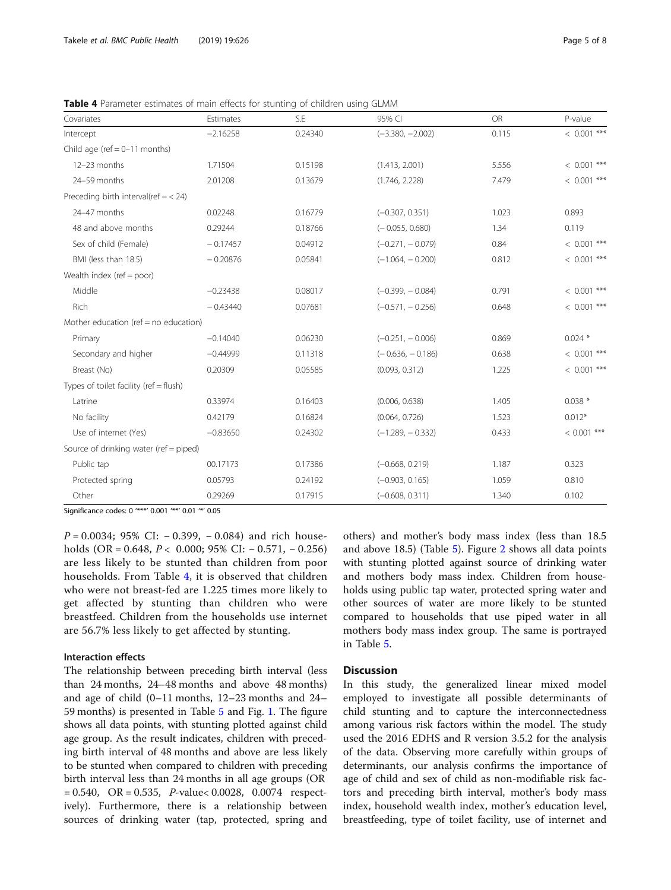| Covariates                               | Estimates  | S.E     | 95% CI             | <b>OR</b> | P-value       |
|------------------------------------------|------------|---------|--------------------|-----------|---------------|
| Intercept                                | $-2.16258$ | 0.24340 | $(-3.380, -2.002)$ | 0.115     | $< 0.001$ *** |
| Child age (ref = $0-11$ months)          |            |         |                    |           |               |
| 12-23 months                             | 1.71504    | 0.15198 | (1.413, 2.001)     | 5.556     | $< 0.001$ *** |
| 24-59 months                             | 2.01208    | 0.13679 | (1.746, 2.228)     | 7.479     | $< 0.001$ *** |
| Preceding birth interval(ref = $<$ 24)   |            |         |                    |           |               |
| 24-47 months                             | 0.02248    | 0.16779 | $(-0.307, 0.351)$  | 1.023     | 0.893         |
| 48 and above months                      | 0.29244    | 0.18766 | $(-0.055, 0.680)$  | 1.34      | 0.119         |
| Sex of child (Female)                    | $-0.17457$ | 0.04912 | $(-0.271, -0.079)$ | 0.84      | $< 0.001$ *** |
| BMI (less than 18.5)                     | $-0.20876$ | 0.05841 | $(-1.064, -0.200)$ | 0.812     | $< 0.001$ *** |
| Wealth index ( $ref = poor$ )            |            |         |                    |           |               |
| Middle                                   | $-0.23438$ | 0.08017 | $(-0.399, -0.084)$ | 0.791     | $< 0.001$ *** |
| Rich                                     | $-0.43440$ | 0.07681 | $(-0.571, -0.256)$ | 0.648     | $< 0.001$ *** |
| Mother education ( $ref = no$ education) |            |         |                    |           |               |
| Primary                                  | $-0.14040$ | 0.06230 | $(-0.251, -0.006)$ | 0.869     | $0.024*$      |
| Secondary and higher                     | $-0.44999$ | 0.11318 | $(-0.636, -0.186)$ | 0.638     | $< 0.001$ *** |
| Breast (No)                              | 0.20309    | 0.05585 | (0.093, 0.312)     | 1.225     | $< 0.001$ *** |
| Types of toilet facility (ref = flush)   |            |         |                    |           |               |
| Latrine                                  | 0.33974    | 0.16403 | (0.006, 0.638)     | 1.405     | $0.038*$      |
| No facility                              | 0.42179    | 0.16824 | (0.064, 0.726)     | 1.523     | $0.012*$      |
| Use of internet (Yes)                    | $-0.83650$ | 0.24302 | $(-1.289, -0.332)$ | 0.433     | $< 0.001$ *** |
| Source of drinking water (ref = piped)   |            |         |                    |           |               |
| Public tap                               | 00.17173   | 0.17386 | $(-0.668, 0.219)$  | 1.187     | 0.323         |
| Protected spring                         | 0.05793    | 0.24192 | $(-0.903, 0.165)$  | 1.059     | 0.810         |
| Other                                    | 0.29269    | 0.17915 | $(-0.608, 0.311)$  | 1.340     | 0.102         |

<span id="page-4-0"></span>Table 4 Parameter estimates of main effects for stunting of children using GLMM

Significance codes: 0 '\*\*\*' 0.001 '\*\*' 0.01 '\*' 0.05

 $P = 0.0034$ ; 95% CI:  $-0.399$ ,  $-0.084$ ) and rich households (OR = 0.648,  $P < 0.000$ ; 95% CI:  $-0.571$ ,  $-0.256$ ) are less likely to be stunted than children from poor households. From Table 4, it is observed that children who were not breast-fed are 1.225 times more likely to get affected by stunting than children who were breastfeed. Children from the households use internet are 56.7% less likely to get affected by stunting.

#### Interaction effects

The relationship between preceding birth interval (less than 24 months, 24–48 months and above 48 months) and age of child (0–11 months, 12–23 months and 24– 59 months) is presented in Table [5](#page-5-0) and Fig. [1.](#page-5-0) The figure shows all data points, with stunting plotted against child age group. As the result indicates, children with preceding birth interval of 48 months and above are less likely to be stunted when compared to children with preceding birth interval less than 24 months in all age groups (OR  $= 0.540$ , OR  $= 0.535$ , P-value $< 0.0028$ , 0.0074 respectively). Furthermore, there is a relationship between sources of drinking water (tap, protected, spring and

others) and mother's body mass index (less than 18.5 and above 18.5) (Table [5](#page-5-0)). Figure [2](#page-6-0) shows all data points with stunting plotted against source of drinking water and mothers body mass index. Children from households using public tap water, protected spring water and other sources of water are more likely to be stunted compared to households that use piped water in all mothers body mass index group. The same is portrayed in Table [5.](#page-5-0)

#### **Discussion**

In this study, the generalized linear mixed model employed to investigate all possible determinants of child stunting and to capture the interconnectedness among various risk factors within the model. The study used the 2016 EDHS and R version 3.5.2 for the analysis of the data. Observing more carefully within groups of determinants, our analysis confirms the importance of age of child and sex of child as non-modifiable risk factors and preceding birth interval, mother's body mass index, household wealth index, mother's education level, breastfeeding, type of toilet facility, use of internet and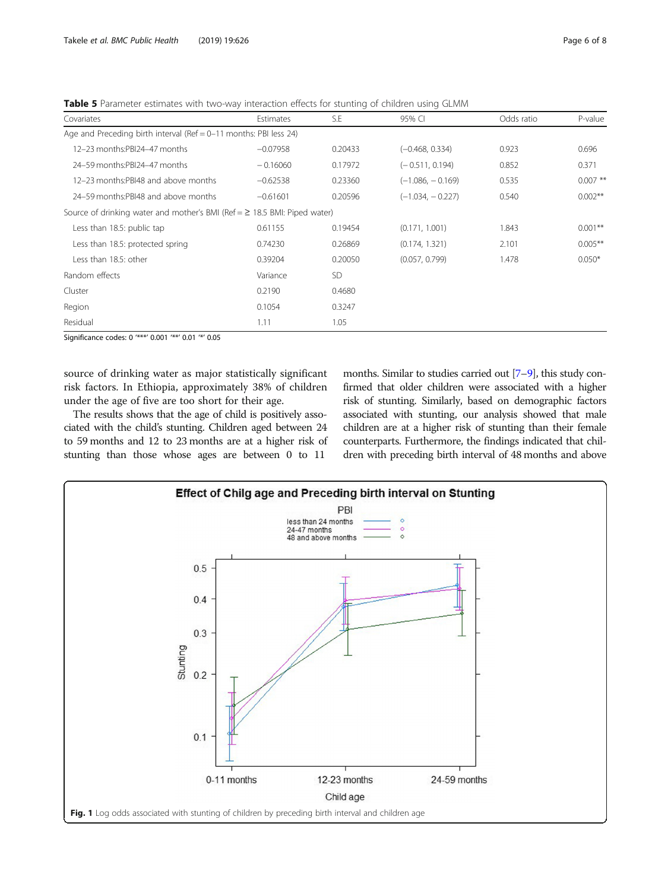| Covariates                                                                     | Estimates  | S.E       | 95% CI              | Odds ratio | P-value    |
|--------------------------------------------------------------------------------|------------|-----------|---------------------|------------|------------|
| Age and Preceding birth interval ( $Ref = 0-11$ months: PBI less 24)           |            |           |                     |            |            |
| 12-23 months:PBI24-47 months                                                   | $-0.07958$ | 0.20433   | $(-0.468, 0.334)$   | 0.923      | 0.696      |
| 24–59 months:PBI24–47 months                                                   | $-0.16060$ | 0.17972   | $(-0.511, 0.194)$   | 0.852      | 0.371      |
| 12-23 months:PBI48 and above months                                            | $-0.62538$ | 0.23360   | $(-1.086, -0.169)$  | 0.535      | $0.007$ ** |
| 24–59 months:PBI48 and above months                                            | $-0.61601$ | 0.20596   | $(-1.034. - 0.227)$ | 0.540      | $0.002***$ |
| Source of drinking water and mother's BMI (Ref = $\geq$ 18.5 BMI: Piped water) |            |           |                     |            |            |
| Less than 18.5: public tap                                                     | 0.61155    | 0.19454   | (0.171, 1.001)      | 1.843      | $0.001***$ |
| Less than 18.5: protected spring                                               | 0.74230    | 0.26869   | (0.174, 1.321)      | 2.101      | $0.005***$ |
| Less than 18.5: other                                                          | 0.39204    | 0.20050   | (0.057, 0.799)      | 1.478      | $0.050*$   |
| Random effects                                                                 | Variance   | <b>SD</b> |                     |            |            |
| Cluster                                                                        | 0.2190     | 0.4680    |                     |            |            |
| Region                                                                         | 0.1054     | 0.3247    |                     |            |            |
| Residual                                                                       | 1.11       | 1.05      |                     |            |            |

<span id="page-5-0"></span>Table 5 Parameter estimates with two-way interaction effects for stunting of children using GLMM

Significance codes: 0 '\*\*\*' 0.001 '\*\*' 0.01 '\*' 0.05

source of drinking water as major statistically significant risk factors. In Ethiopia, approximately 38% of children under the age of five are too short for their age.

The results shows that the age of child is positively associated with the child's stunting. Children aged between 24 to 59 months and 12 to 23 months are at a higher risk of stunting than those whose ages are between 0 to 11

months. Similar to studies carried out [[7](#page-7-0)–[9\]](#page-7-0), this study confirmed that older children were associated with a higher risk of stunting. Similarly, based on demographic factors associated with stunting, our analysis showed that male children are at a higher risk of stunting than their female counterparts. Furthermore, the findings indicated that children with preceding birth interval of 48 months and above

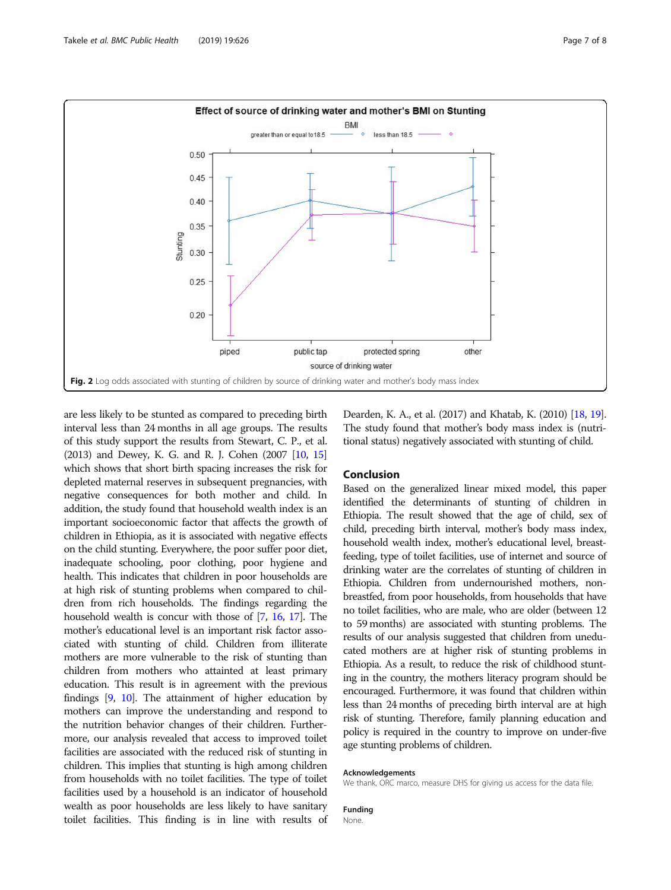<span id="page-6-0"></span>

are less likely to be stunted as compared to preceding birth interval less than 24 months in all age groups. The results of this study support the results from Stewart, C. P., et al. (2013) and Dewey, K. G. and R. J. Cohen (2007 [\[10,](#page-7-0) [15](#page-7-0)] which shows that short birth spacing increases the risk for depleted maternal reserves in subsequent pregnancies, with negative consequences for both mother and child. In addition, the study found that household wealth index is an important socioeconomic factor that affects the growth of children in Ethiopia, as it is associated with negative effects on the child stunting. Everywhere, the poor suffer poor diet, inadequate schooling, poor clothing, poor hygiene and health. This indicates that children in poor households are at high risk of stunting problems when compared to children from rich households. The findings regarding the household wealth is concur with those of [\[7,](#page-7-0) [16,](#page-7-0) [17](#page-7-0)]. The mother's educational level is an important risk factor associated with stunting of child. Children from illiterate mothers are more vulnerable to the risk of stunting than children from mothers who attainted at least primary education. This result is in agreement with the previous findings [[9](#page-7-0), [10\]](#page-7-0). The attainment of higher education by mothers can improve the understanding and respond to the nutrition behavior changes of their children. Furthermore, our analysis revealed that access to improved toilet facilities are associated with the reduced risk of stunting in children. This implies that stunting is high among children from households with no toilet facilities. The type of toilet facilities used by a household is an indicator of household wealth as poor households are less likely to have sanitary toilet facilities. This finding is in line with results of Dearden, K. A., et al. (2017) and Khatab, K. (2010) [[18](#page-7-0), [19](#page-7-0)]. The study found that mother's body mass index is (nutritional status) negatively associated with stunting of child.

#### Conclusion

Based on the generalized linear mixed model, this paper identified the determinants of stunting of children in Ethiopia. The result showed that the age of child, sex of child, preceding birth interval, mother's body mass index, household wealth index, mother's educational level, breastfeeding, type of toilet facilities, use of internet and source of drinking water are the correlates of stunting of children in Ethiopia. Children from undernourished mothers, nonbreastfed, from poor households, from households that have no toilet facilities, who are male, who are older (between 12 to 59 months) are associated with stunting problems. The results of our analysis suggested that children from uneducated mothers are at higher risk of stunting problems in Ethiopia. As a result, to reduce the risk of childhood stunting in the country, the mothers literacy program should be encouraged. Furthermore, it was found that children within less than 24 months of preceding birth interval are at high risk of stunting. Therefore, family planning education and policy is required in the country to improve on under-five age stunting problems of children.

#### Acknowledgements

We thank, ORC marco, measure DHS for giving us access for the data file.

#### Funding

None.